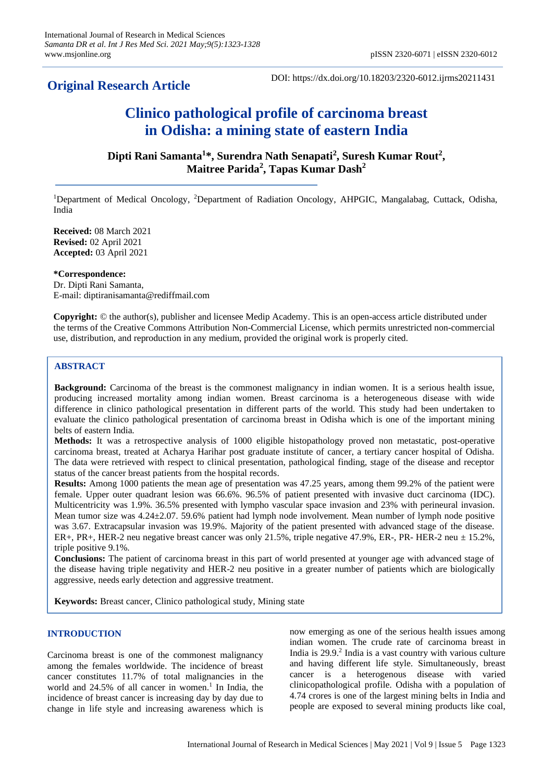## **Original Research Article**

DOI: https://dx.doi.org/10.18203/2320-6012.ijrms20211431

# **Clinico pathological profile of carcinoma breast in Odisha: a mining state of eastern India**

**Dipti Rani Samanta<sup>1</sup> \*, Surendra Nath Senapati<sup>2</sup> , Suresh Kumar Rout<sup>2</sup> , Maitree Parida<sup>2</sup> , Tapas Kumar Dash<sup>2</sup>**

<sup>1</sup>Department of Medical Oncology, <sup>2</sup>Department of Radiation Oncology, AHPGIC, Mangalabag, Cuttack, Odisha, India

**Received:** 08 March 2021 **Revised:** 02 April 2021 **Accepted:** 03 April 2021

**\*Correspondence:** Dr. Dipti Rani Samanta, E-mail: diptiranisamanta@rediffmail.com

**Copyright:** © the author(s), publisher and licensee Medip Academy. This is an open-access article distributed under the terms of the Creative Commons Attribution Non-Commercial License, which permits unrestricted non-commercial use, distribution, and reproduction in any medium, provided the original work is properly cited.

## **ABSTRACT**

**Background:** Carcinoma of the breast is the commonest malignancy in indian women. It is a serious health issue, producing increased mortality among indian women. Breast carcinoma is a heterogeneous disease with wide difference in clinico pathological presentation in different parts of the world. This study had been undertaken to evaluate the clinico pathological presentation of carcinoma breast in Odisha which is one of the important mining belts of eastern India.

**Methods:** It was a retrospective analysis of 1000 eligible histopathology proved non metastatic, post-operative carcinoma breast, treated at Acharya Harihar post graduate institute of cancer, a tertiary cancer hospital of Odisha. The data were retrieved with respect to clinical presentation, pathological finding, stage of the disease and receptor status of the cancer breast patients from the hospital records.

**Results:** Among 1000 patients the mean age of presentation was 47.25 years, among them 99.2% of the patient were female. Upper outer quadrant lesion was 66.6%. 96.5% of patient presented with invasive duct carcinoma (IDC). Multicentricity was 1.9%. 36.5% presented with lympho vascular space invasion and 23% with perineural invasion. Mean tumor size was 4.24±2.07. 59.6% patient had lymph node involvement. Mean number of lymph node positive was 3.67. Extracapsular invasion was 19.9%. Majority of the patient presented with advanced stage of the disease. ER+, PR+, HER-2 neu negative breast cancer was only 21.5%, triple negative 47.9%, ER-, PR- HER-2 neu ± 15.2%, triple positive 9.1%.

**Conclusions:** The patient of carcinoma breast in this part of world presented at younger age with advanced stage of the disease having triple negativity and HER-2 neu positive in a greater number of patients which are biologically aggressive, needs early detection and aggressive treatment.

**Keywords:** Breast cancer, Clinico pathological study, Mining state

## **INTRODUCTION**

Carcinoma breast is one of the commonest malignancy among the females worldwide. The incidence of breast cancer constitutes 11.7% of total malignancies in the world and  $24.5\%$  of all cancer in women.<sup>1</sup> In India, the incidence of breast cancer is increasing day by day due to change in life style and increasing awareness which is now emerging as one of the serious health issues among indian women. The crude rate of carcinoma breast in India is 29.9.<sup>2</sup> India is a vast country with various culture and having different life style. Simultaneously, breast cancer is a heterogenous disease with varied clinicopathological profile. Odisha with a population of 4.74 crores is one of the largest mining belts in India and people are exposed to several mining products like coal,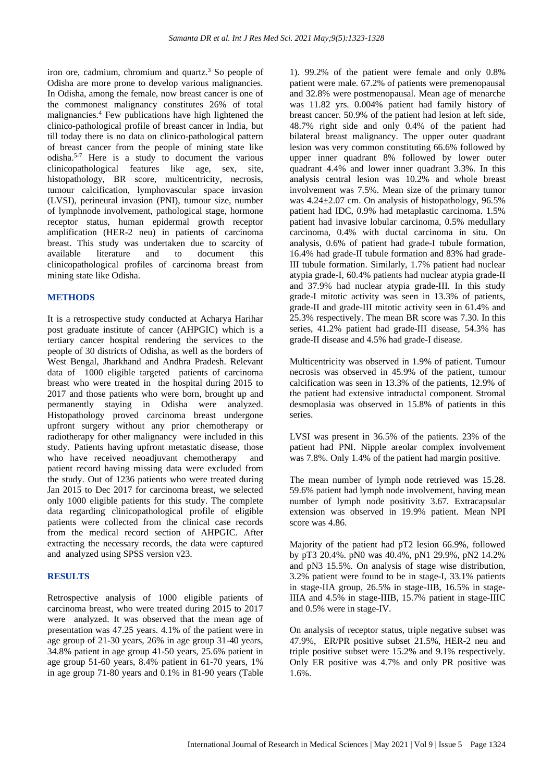iron ore, cadmium, chromium and quartz. <sup>3</sup> So people of Odisha are more prone to develop various malignancies. In Odisha, among the female, now breast cancer is one of the commonest malignancy constitutes 26% of total malignancies.<sup>4</sup> Few publications have high lightened the clinico-pathological profile of breast cancer in India, but till today there is no data on clinico-pathological pattern of breast cancer from the people of mining state like odisha.5-7 Here is a study to document the various clinicopathological features like age, sex, site, histopathology, BR score, multicentricity, necrosis, tumour calcification, lymphovascular space invasion (LVSI), perineural invasion (PNI), tumour size, number of lymphnode involvement, pathological stage, hormone receptor status, human epidermal growth receptor amplification (HER-2 neu) in patients of carcinoma breast. This study was undertaken due to scarcity of available literature and to document this clinicopathological profiles of carcinoma breast from mining state like Odisha.

#### **METHODS**

It is a retrospective study conducted at Acharya Harihar post graduate institute of cancer (AHPGIC) which is a tertiary cancer hospital rendering the services to the people of 30 districts of Odisha, as well as the borders of West Bengal, Jharkhand and Andhra Pradesh. Relevant data of 1000 eligible targeted patients of carcinoma breast who were treated in the hospital during 2015 to 2017 and those patients who were born, brought up and permanently staying in Odisha were analyzed. Histopathology proved carcinoma breast undergone upfront surgery without any prior chemotherapy or radiotherapy for other malignancy were included in this study. Patients having upfront metastatic disease, those who have received neoadjuvant chemotherapy and patient record having missing data were excluded from the study. Out of 1236 patients who were treated during Jan 2015 to Dec 2017 for carcinoma breast, we selected only 1000 eligible patients for this study. The complete data regarding clinicopathological profile of eligible patients were collected from the clinical case records from the medical record section of AHPGIC. After extracting the necessary records, the data were captured and analyzed using SPSS version v23.

## **RESULTS**

Retrospective analysis of 1000 eligible patients of carcinoma breast, who were treated during 2015 to 2017 were analyzed. It was observed that the mean age of presentation was 47.25 years. 4.1% of the patient were in age group of 21-30 years, 26% in age group 31-40 years, 34.8% patient in age group 41-50 years, 25.6% patient in age group 51-60 years, 8.4% patient in 61-70 years, 1% in age group 71-80 years and 0.1% in 81-90 years (Table

1). 99.2% of the patient were female and only 0.8% patient were male. 67.2% of patients were premenopausal and 32.8% were postmenopausal. Mean age of menarche was 11.82 yrs. 0.004% patient had family history of breast cancer. 50.9% of the patient had lesion at left side, 48.7% right side and only 0.4% of the patient had bilateral breast malignancy. The upper outer quadrant lesion was very common constituting 66.6% followed by upper inner quadrant 8% followed by lower outer quadrant 4.4% and lower inner quadrant 3.3%. In this analysis central lesion was 10.2% and whole breast involvement was 7.5%. Mean size of the primary tumor was  $4.24 \pm 2.07$  cm. On analysis of histopathology,  $96.5\%$ patient had IDC, 0.9% had metaplastic carcinoma. 1.5% patient had invasive lobular carcinoma, 0.5% medullary carcinoma, 0.4% with ductal carcinoma in situ. On analysis, 0.6% of patient had grade-I tubule formation, 16.4% had grade-II tubule formation and 83% had grade-III tubule formation. Similarly, 1.7% patient had nuclear atypia grade-I, 60.4% patients had nuclear atypia grade-II and 37.9% had nuclear atypia grade-III. In this study grade-I mitotic activity was seen in 13.3% of patients, grade-II and grade-III mitotic activity seen in 61.4% and 25.3% respectively. The mean BR score was 7.30. In this series, 41.2% patient had grade-III disease, 54.3% has grade-II disease and 4.5% had grade-I disease.

Multicentricity was observed in 1.9% of patient. Tumour necrosis was observed in 45.9% of the patient, tumour calcification was seen in 13.3% of the patients, 12.9% of the patient had extensive intraductal component. Stromal desmoplasia was observed in 15.8% of patients in this series.

LVSI was present in 36.5% of the patients. 23% of the patient had PNI. Nipple areolar complex involvement was 7.8%. Only 1.4% of the patient had margin positive.

The mean number of lymph node retrieved was 15.28. 59.6% patient had lymph node involvement, having mean number of lymph node positivity 3.67. Extracapsular extension was observed in 19.9% patient. Mean NPI score was 4.86.

Majority of the patient had pT2 lesion 66.9%, followed by pT3 20.4%. pN0 was 40.4%, pN1 29.9%, pN2 14.2% and pN3 15.5%. On analysis of stage wise distribution, 3.2% patient were found to be in stage-I, 33.1% patients in stage-IIA group, 26.5% in stage-IIB, 16.5% in stage-IIIA and 4.5% in stage-IIIB, 15.7% patient in stage-IIIC and 0.5% were in stage-IV.

On analysis of receptor status, triple negative subset was 47.9%, ER/PR positive subset 21.5%, HER-2 neu and triple positive subset were 15.2% and 9.1% respectively. Only ER positive was 4.7% and only PR positive was 1.6%.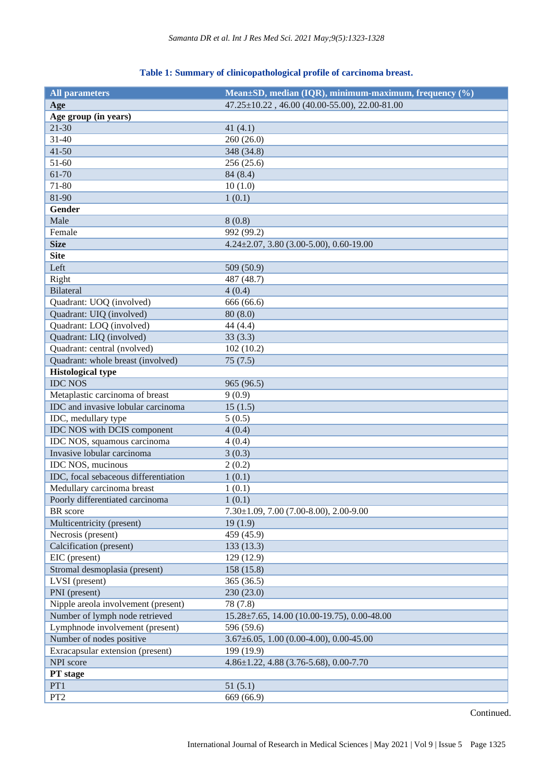## **Table 1: Summary of clinicopathological profile of carcinoma breast.**

| <b>All parameters</b>                     | Mean±SD, median (IQR), minimum-maximum, frequency (%)           |
|-------------------------------------------|-----------------------------------------------------------------|
| Age                                       | $47.25 \pm 10.22$ , $46.00$ $(40.00 - 55.00)$ , $22.00 - 81.00$ |
| Age group (in years)                      |                                                                 |
| $21 - 30$                                 | 41 $(4.1)$                                                      |
| $31 - 40$                                 | 260 (26.0)                                                      |
| $41 - 50$                                 | 348 (34.8)                                                      |
| 51-60                                     | 256 (25.6)                                                      |
| 61-70                                     | 84 (8.4)                                                        |
| 71-80                                     | 10(1.0)                                                         |
| 81-90                                     | 1(0.1)                                                          |
| Gender                                    |                                                                 |
| Male                                      | 8(0.8)                                                          |
| Female                                    | 992 (99.2)                                                      |
| <b>Size</b>                               | $4.24 \pm 2.07$ , 3.80 (3.00-5.00), 0.60-19.00                  |
| <b>Site</b>                               |                                                                 |
| Left                                      | 509 (50.9)                                                      |
| Right                                     | 487 (48.7)                                                      |
| <b>Bilateral</b>                          | 4(0.4)                                                          |
| Quadrant: UOQ (involved)                  | 666 (66.6)                                                      |
| Quadrant: UIQ (involved)                  | 80(8.0)                                                         |
| Quadrant: LOQ (involved)                  | 44 (4.4)                                                        |
| Quadrant: LIQ (involved)                  | 33(3.3)                                                         |
| Quadrant: central (nvolved)               | 102(10.2)                                                       |
| Quadrant: whole breast (involved)         | 75(7.5)                                                         |
| <b>Histological type</b>                  |                                                                 |
| <b>IDC NOS</b>                            | 965 (96.5)                                                      |
| Metaplastic carcinoma of breast           | 9(0.9)                                                          |
| <b>IDC</b> and invasive lobular carcinoma | 15(1.5)                                                         |
| IDC, medullary type                       | 5(0.5)                                                          |
| IDC NOS with DCIS component               | 4(0.4)                                                          |
| IDC NOS, squamous carcinoma               | 4(0.4)                                                          |
| Invasive lobular carcinoma                | 3(0.3)                                                          |
| IDC NOS, mucinous                         | 2(0.2)                                                          |
| IDC, focal sebaceous differentiation      | 1(0.1)                                                          |
| Medullary carcinoma breast                | 1(0.1)                                                          |
| Poorly differentiated carcinoma           | 1(0.1)                                                          |
| BR score                                  | $7.30\pm1.09$ , $7.00$ (7.00-8.00), 2.00-9.00                   |
| Multicentricity (present)                 | 19(1.9)                                                         |
| Necrosis (present)                        | 459 (45.9)                                                      |
| Calcification (present)                   | 133 (13.3)                                                      |
| EIC (present)                             | 129 (12.9)                                                      |
| Stromal desmoplasia (present)             | 158 (15.8)                                                      |
| LVSI (present)                            | 365 (36.5)                                                      |
| PNI (present)                             | 230 (23.0)                                                      |
| Nipple areola involvement (present)       | 78 (7.8)                                                        |
| Number of lymph node retrieved            | $15.28 \pm 7.65$ , 14.00 (10.00-19.75), 0.00-48.00              |
| Lymphnode involvement (present)           | 596 (59.6)                                                      |
| Number of nodes positive                  | $3.67\pm6.05$ , 1.00 (0.00-4.00), 0.00-45.00                    |
| Exracapsular extension (present)          | 199 (19.9)                                                      |
| NPI score                                 | 4.86±1.22, 4.88 (3.76-5.68), 0.00-7.70                          |
| PT stage                                  |                                                                 |
| PT1                                       | 51(5.1)                                                         |
| PT <sub>2</sub>                           | 669 (66.9)                                                      |

Continued.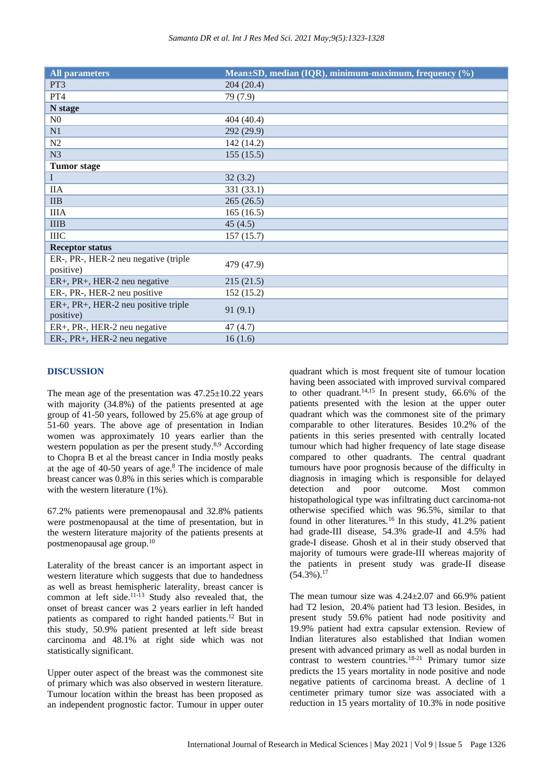|  |  | Samanta DR et al. Int J Res Med Sci. 2021 May;9(5):1323-1328 |
|--|--|--------------------------------------------------------------|
|--|--|--------------------------------------------------------------|

| <b>All parameters</b>                             | Mean±SD, median (IQR), minimum-maximum, frequency (%) |
|---------------------------------------------------|-------------------------------------------------------|
| PT3                                               | 204 (20.4)                                            |
| PT4                                               | 79 (7.9)                                              |
| N stage                                           |                                                       |
| N <sub>0</sub>                                    | 404 (40.4)                                            |
| N1                                                | 292 (29.9)                                            |
| N2                                                | 142 (14.2)                                            |
| N <sub>3</sub>                                    | 155(15.5)                                             |
| <b>Tumor</b> stage                                |                                                       |
| $\mathbf I$                                       | 32(3.2)                                               |
| <b>IIA</b>                                        | 331 (33.1)                                            |
| $\mathbf{IIB}$                                    | 265(26.5)                                             |
| <b>IIIA</b>                                       | 165(16.5)                                             |
| <b>IIIB</b>                                       | 45(4.5)                                               |
| <b>IIIC</b>                                       | 157(15.7)                                             |
| <b>Receptor status</b>                            |                                                       |
| ER-, PR-, HER-2 neu negative (triple<br>positive) | 479 (47.9)                                            |
| ER+, PR+, HER-2 neu negative                      | 215(21.5)                                             |
| ER-, PR-, HER-2 neu positive                      | 152(15.2)                                             |
| ER+, PR+, HER-2 neu positive triple<br>positive)  | 91(9.1)                                               |
| ER+, PR-, HER-2 neu negative                      | 47(4.7)                                               |
| ER-, PR+, HER-2 neu negative                      | 16(1.6)                                               |

## **DISCUSSION**

The mean age of the presentation was  $47.25 \pm 10.22$  years with majority (34.8%) of the patients presented at age group of 41-50 years, followed by 25.6% at age group of 51-60 years. The above age of presentation in Indian women was approximately 10 years earlier than the western population as per the present study.<sup>8,9</sup> According to Chopra B et al the breast cancer in India mostly peaks at the age of  $40-50$  years of age. $8$  The incidence of male breast cancer was 0.8% in this series which is comparable with the western literature (1%).

67.2% patients were premenopausal and 32.8% patients were postmenopausal at the time of presentation, but in the western literature majority of the patients presents at postmenopausal age group.<sup>10</sup>

Laterality of the breast cancer is an important aspect in western literature which suggests that due to handedness as well as breast hemispheric laterality, breast cancer is common at left side. $11-13$  Study also revealed that, the onset of breast cancer was 2 years earlier in left handed patients as compared to right handed patients.<sup>12</sup> But in this study, 50.9% patient presented at left side breast carcinoma and 48.1% at right side which was not statistically significant.

Upper outer aspect of the breast was the commonest site of primary which was also observed in western literature. Tumour location within the breast has been proposed as an independent prognostic factor. Tumour in upper outer quadrant which is most frequent site of tumour location having been associated with improved survival compared to other quadrant.<sup>14,15</sup> In present study,  $66.6\%$  of the patients presented with the lesion at the upper outer quadrant which was the commonest site of the primary comparable to other literatures. Besides 10.2% of the patients in this series presented with centrally located tumour which had higher frequency of late stage disease compared to other quadrants. The central quadrant tumours have poor prognosis because of the difficulty in diagnosis in imaging which is responsible for delayed detection and poor outcome. Most common histopathological type was infiltrating duct carcinoma-not otherwise specified which was 96.5%, similar to that found in other literatures.<sup>16</sup> In this study, 41.2% patient had grade-III disease, 54.3% grade-II and 4.5% had grade-I disease. Ghosh et al in their study observed that majority of tumours were grade-III whereas majority of the patients in present study was grade-II disease  $(54.3\%)$ <sup>17</sup>

The mean tumour size was  $4.24 \pm 2.07$  and 66.9% patient had T2 lesion, 20.4% patient had T3 lesion. Besides, in present study 59.6% patient had node positivity and 19.9% patient had extra capsular extension. Review of Indian literatures also established that Indian women present with advanced primary as well as nodal burden in contrast to western countries.<sup>18-21</sup> Primary tumor size predicts the 15 years mortality in node positive and node negative patients of carcinoma breast. A decline of 1 centimeter primary tumor size was associated with a reduction in 15 years mortality of 10.3% in node positive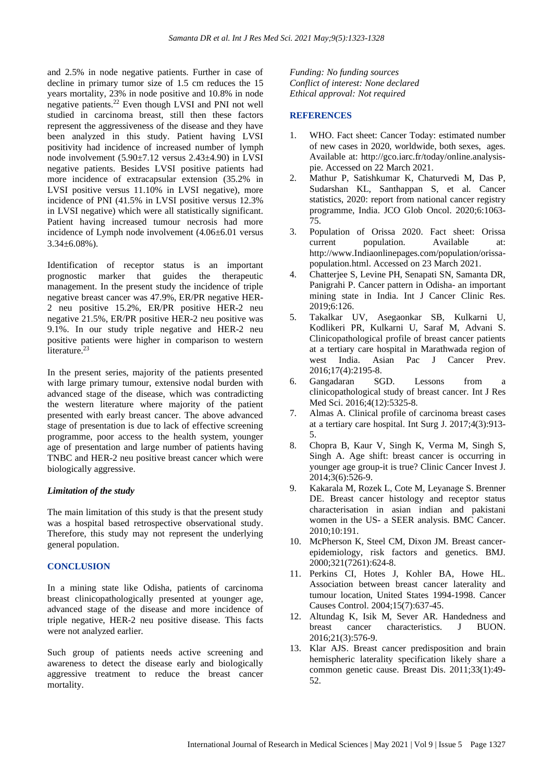and 2.5% in node negative patients. Further in case of decline in primary tumor size of 1.5 cm reduces the 15 years mortality, 23% in node positive and 10.8% in node negative patients.<sup>22</sup> Even though LVSI and PNI not well studied in carcinoma breast, still then these factors represent the aggressiveness of the disease and they have been analyzed in this study. Patient having LVSI positivity had incidence of increased number of lymph node involvement (5.90±7.12 versus 2.43±4.90) in LVSI negative patients. Besides LVSI positive patients had more incidence of extracapsular extension (35.2% in LVSI positive versus 11.10% in LVSI negative), more incidence of PNI (41.5% in LVSI positive versus 12.3% in LVSI negative) which were all statistically significant. Patient having increased tumour necrosis had more incidence of Lymph node involvement (4.06±6.01 versus  $3.34\pm6.08\%$ ).

Identification of receptor status is an important prognostic marker that guides the therapeutic management. In the present study the incidence of triple negative breast cancer was 47.9%, ER/PR negative HER-2 neu positive 15.2%, ER/PR positive HER-2 neu negative 21.5%, ER/PR positive HER-2 neu positive was 9.1%. In our study triple negative and HER-2 neu positive patients were higher in comparison to western literature.<sup>23</sup>

In the present series, majority of the patients presented with large primary tumour, extensive nodal burden with advanced stage of the disease, which was contradicting the western literature where majority of the patient presented with early breast cancer. The above advanced stage of presentation is due to lack of effective screening programme, poor access to the health system, younger age of presentation and large number of patients having TNBC and HER-2 neu positive breast cancer which were biologically aggressive.

## *Limitation of the study*

The main limitation of this study is that the present study was a hospital based retrospective observational study. Therefore, this study may not represent the underlying general population.

## **CONCLUSION**

In a mining state like Odisha, patients of carcinoma breast clinicopathologically presented at younger age, advanced stage of the disease and more incidence of triple negative, HER-2 neu positive disease. This facts were not analyzed earlier.

Such group of patients needs active screening and awareness to detect the disease early and biologically aggressive treatment to reduce the breast cancer mortality.

*Funding: No funding sources Conflict of interest: None declared Ethical approval: Not required*

## **REFERENCES**

- WHO. Fact sheet: Cancer Today: estimated number of new cases in 2020, worldwide, both sexes, ages. Available at: http://gco.iarc.fr/today/online.analysispie. Accessed on 22 March 2021.
- 2. Mathur P, Satishkumar K, Chaturvedi M, Das P, Sudarshan KL, Santhappan S, et al. Cancer statistics, 2020: report from national cancer registry programme, India. JCO Glob Oncol. 2020;6:1063- 75.
- 3. Population of Orissa 2020. Fact sheet: Orissa current population. Available at: http://www.Indiaonlinepages.com/population/orissapopulation.html. Accessed on 23 March 2021.
- 4. Chatterjee S, Levine PH, Senapati SN, Samanta DR, Panigrahi P. Cancer pattern in Odisha- an important mining state in India. Int J Cancer Clinic Res. 2019;6:126.
- 5. Takalkar UV, Asegaonkar SB, Kulkarni U, Kodlikeri PR, Kulkarni U, Saraf M, Advani S. Clinicopathological profile of breast cancer patients at a tertiary care hospital in Marathwada region of west India. Asian Pac J Cancer Prev. 2016;17(4):2195-8.
- 6. Gangadaran SGD. Lessons from a clinicopathological study of breast cancer. Int J Res Med Sci. 2016;4(12):5325-8.
- 7. Almas A. Clinical profile of carcinoma breast cases at a tertiary care hospital. Int Surg J. 2017;4(3):913- 5.
- 8. Chopra B, Kaur V, Singh K, Verma M, Singh S, Singh A. Age shift: breast cancer is occurring in younger age group-it is true? Clinic Cancer Invest J. 2014;3(6):526-9.
- 9. Kakarala M, Rozek L, Cote M, Leyanage S. Brenner DE. Breast cancer histology and receptor status characterisation in asian indian and pakistani women in the US- a SEER analysis. BMC Cancer. 2010;10:191.
- 10. McPherson K, Steel CM, Dixon JM. Breast cancerepidemiology, risk factors and genetics. BMJ. 2000;321(7261):624-8.
- 11. Perkins CI, Hotes J, Kohler BA, Howe HL. Association between breast cancer laterality and tumour location, United States 1994-1998. Cancer Causes Control. 2004;15(7):637-45.
- 12. Altundag K, Isik M, Sever AR. Handedness and breast cancer characteristics. J BUON. 2016;21(3):576-9.
- 13. Klar AJS. Breast cancer predisposition and brain hemispheric laterality specification likely share a common genetic cause. Breast Dis. 2011;33(1):49- 52.